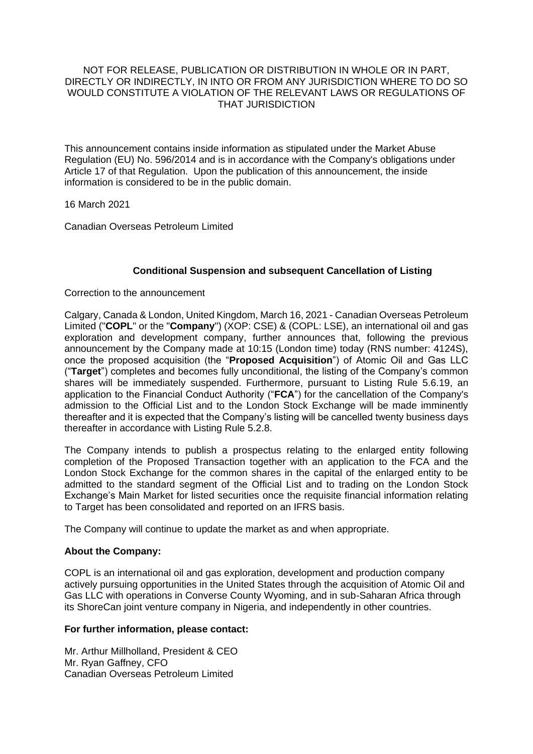### NOT FOR RELEASE, PUBLICATION OR DISTRIBUTION IN WHOLE OR IN PART, DIRECTLY OR INDIRECTLY, IN INTO OR FROM ANY JURISDICTION WHERE TO DO SO WOULD CONSTITUTE A VIOLATION OF THE RELEVANT LAWS OR REGULATIONS OF THAT JURISDICTION

This announcement contains inside information as stipulated under the Market Abuse Regulation (EU) No. 596/2014 and is in accordance with the Company's obligations under Article 17 of that Regulation. Upon the publication of this announcement, the inside information is considered to be in the public domain.

16 March 2021

Canadian Overseas Petroleum Limited

# **Conditional Suspension and subsequent Cancellation of Listing**

Correction to the announcement

Calgary, Canada & London, United Kingdom, March 16, 2021 - Canadian Overseas Petroleum Limited ("**COPL**" or the "**Company**") (XOP: CSE) & (COPL: LSE), an international oil and gas exploration and development company, further announces that, following the previous announcement by the Company made at 10:15 (London time) today (RNS number: 4124S), once the proposed acquisition (the "**Proposed Acquisition**") of Atomic Oil and Gas LLC ("**Target**") completes and becomes fully unconditional, the listing of the Company's common shares will be immediately suspended. Furthermore, pursuant to Listing Rule 5.6.19, an application to the Financial Conduct Authority ("**FCA**") for the cancellation of the Company's admission to the Official List and to the London Stock Exchange will be made imminently thereafter and it is expected that the Company's listing will be cancelled twenty business days thereafter in accordance with Listing Rule 5.2.8.

The Company intends to publish a prospectus relating to the enlarged entity following completion of the Proposed Transaction together with an application to the FCA and the London Stock Exchange for the common shares in the capital of the enlarged entity to be admitted to the standard segment of the Official List and to trading on the London Stock Exchange's Main Market for listed securities once the requisite financial information relating to Target has been consolidated and reported on an IFRS basis.

The Company will continue to update the market as and when appropriate.

# **About the Company:**

COPL is an international oil and gas exploration, development and production company actively pursuing opportunities in the United States through the acquisition of Atomic Oil and Gas LLC with operations in Converse County Wyoming, and in sub-Saharan Africa through its ShoreCan joint venture company in Nigeria, and independently in other countries.

#### **For further information, please contact:**

Mr. Arthur Millholland, President & CEO Mr. Ryan Gaffney, CFO Canadian Overseas Petroleum Limited